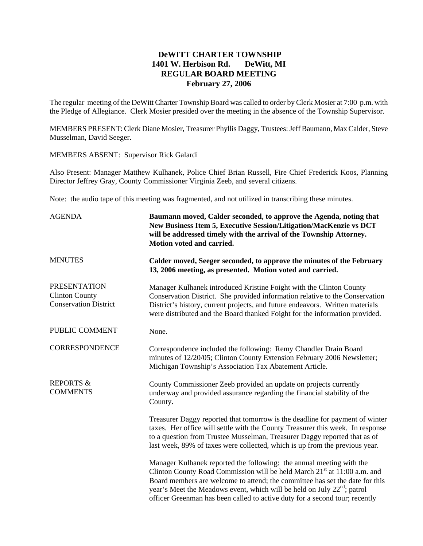## **DeWITT CHARTER TOWNSHIP 1401 W. Herbison Rd. DeWitt, MI REGULAR BOARD MEETING February 27, 2006**

The regular meeting of the DeWitt Charter Township Board was called to order by Clerk Mosier at 7:00 p.m. with the Pledge of Allegiance. Clerk Mosier presided over the meeting in the absence of the Township Supervisor.

MEMBERS PRESENT: Clerk Diane Mosier, Treasurer Phyllis Daggy, Trustees: Jeff Baumann, Max Calder, Steve Musselman, David Seeger.

MEMBERS ABSENT: Supervisor Rick Galardi

Also Present: Manager Matthew Kulhanek, Police Chief Brian Russell, Fire Chief Frederick Koos, Planning Director Jeffrey Gray, County Commissioner Virginia Zeeb, and several citizens.

Note: the audio tape of this meeting was fragmented, and not utilized in transcribing these minutes.

| <b>AGENDA</b>                                                                | Baumann moved, Calder seconded, to approve the Agenda, noting that<br>New Business Item 5, Executive Session/Litigation/MacKenzie vs DCT<br>will be addressed timely with the arrival of the Township Attorney.<br>Motion voted and carried.<br>Calder moved, Seeger seconded, to approve the minutes of the February<br>13, 2006 meeting, as presented. Motion voted and carried.                                 |  |  |
|------------------------------------------------------------------------------|--------------------------------------------------------------------------------------------------------------------------------------------------------------------------------------------------------------------------------------------------------------------------------------------------------------------------------------------------------------------------------------------------------------------|--|--|
| <b>MINUTES</b>                                                               |                                                                                                                                                                                                                                                                                                                                                                                                                    |  |  |
| <b>PRESENTATION</b><br><b>Clinton County</b><br><b>Conservation District</b> | Manager Kulhanek introduced Kristine Foight with the Clinton County<br>Conservation District. She provided information relative to the Conservation<br>District's history, current projects, and future endeavors. Written materials<br>were distributed and the Board thanked Foight for the information provided.                                                                                                |  |  |
| PUBLIC COMMENT                                                               | None.                                                                                                                                                                                                                                                                                                                                                                                                              |  |  |
| <b>CORRESPONDENCE</b>                                                        | Correspondence included the following: Remy Chandler Drain Board<br>minutes of 12/20/05; Clinton County Extension February 2006 Newsletter;<br>Michigan Township's Association Tax Abatement Article.                                                                                                                                                                                                              |  |  |
| <b>REPORTS &amp;</b><br><b>COMMENTS</b>                                      | County Commissioner Zeeb provided an update on projects currently<br>underway and provided assurance regarding the financial stability of the<br>County.                                                                                                                                                                                                                                                           |  |  |
|                                                                              | Treasurer Daggy reported that tomorrow is the deadline for payment of winter<br>taxes. Her office will settle with the County Treasurer this week. In response<br>to a question from Trustee Musselman, Treasurer Daggy reported that as of<br>last week, 89% of taxes were collected, which is up from the previous year.                                                                                         |  |  |
|                                                                              | Manager Kulhanek reported the following: the annual meeting with the<br>Clinton County Road Commission will be held March 21 <sup>st</sup> at 11:00 a.m. and<br>Board members are welcome to attend; the committee has set the date for this<br>year's Meet the Meadows event, which will be held on July 22 <sup>nd</sup> ; patrol<br>officer Greenman has been called to active duty for a second tour; recently |  |  |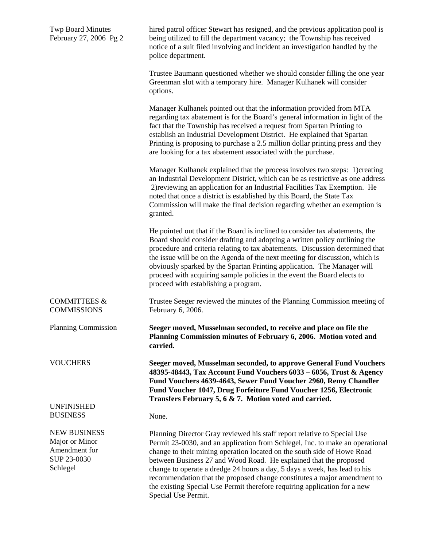| <b>Twp Board Minutes</b><br>February 27, 2006 Pg 2                                | hired patrol officer Stewart has resigned, and the previous application pool is<br>being utilized to fill the department vacancy; the Township has received<br>notice of a suit filed involving and incident an investigation handled by the<br>police department.                                                                                                                                                                                                                                                                                                     |  |
|-----------------------------------------------------------------------------------|------------------------------------------------------------------------------------------------------------------------------------------------------------------------------------------------------------------------------------------------------------------------------------------------------------------------------------------------------------------------------------------------------------------------------------------------------------------------------------------------------------------------------------------------------------------------|--|
|                                                                                   | Trustee Baumann questioned whether we should consider filling the one year<br>Greenman slot with a temporary hire. Manager Kulhanek will consider<br>options.                                                                                                                                                                                                                                                                                                                                                                                                          |  |
|                                                                                   | Manager Kulhanek pointed out that the information provided from MTA<br>regarding tax abatement is for the Board's general information in light of the<br>fact that the Township has received a request from Spartan Printing to<br>establish an Industrial Development District. He explained that Spartan<br>Printing is proposing to purchase a 2.5 million dollar printing press and they<br>are looking for a tax abatement associated with the purchase.                                                                                                          |  |
|                                                                                   | Manager Kulhanek explained that the process involves two steps: 1)creating<br>an Industrial Development District, which can be as restrictive as one address<br>2) reviewing an application for an Industrial Facilities Tax Exemption. He<br>noted that once a district is established by this Board, the State Tax<br>Commission will make the final decision regarding whether an exemption is<br>granted.                                                                                                                                                          |  |
|                                                                                   | He pointed out that if the Board is inclined to consider tax abatements, the<br>Board should consider drafting and adopting a written policy outlining the<br>procedure and criteria relating to tax abatements. Discussion determined that<br>the issue will be on the Agenda of the next meeting for discussion, which is<br>obviously sparked by the Spartan Printing application. The Manager will<br>proceed with acquiring sample policies in the event the Board elects to<br>proceed with establishing a program.                                              |  |
| <b>COMMITTEES &amp;</b><br><b>COMMISSIONS</b>                                     | Trustee Seeger reviewed the minutes of the Planning Commission meeting of<br>February 6, 2006.                                                                                                                                                                                                                                                                                                                                                                                                                                                                         |  |
| <b>Planning Commission</b>                                                        | Seeger moved, Musselman seconded, to receive and place on file the<br>Planning Commission minutes of February 6, 2006. Motion voted and<br>carried.                                                                                                                                                                                                                                                                                                                                                                                                                    |  |
| <b>VOUCHERS</b>                                                                   | Seeger moved, Musselman seconded, to approve General Fund Vouchers<br>48395-48443, Tax Account Fund Vouchers 6033 - 6056, Trust & Agency<br>Fund Vouchers 4639-4643, Sewer Fund Voucher 2960, Remy Chandler<br>Fund Voucher 1047, Drug Forfeiture Fund Voucher 1256, Electronic<br>Transfers February 5, 6 & 7. Motion voted and carried.                                                                                                                                                                                                                              |  |
| <b>UNFINISHED</b><br><b>BUSINESS</b>                                              | None.                                                                                                                                                                                                                                                                                                                                                                                                                                                                                                                                                                  |  |
| <b>NEW BUSINESS</b><br>Major or Minor<br>Amendment for<br>SUP 23-0030<br>Schlegel | Planning Director Gray reviewed his staff report relative to Special Use<br>Permit 23-0030, and an application from Schlegel, Inc. to make an operational<br>change to their mining operation located on the south side of Howe Road<br>between Business 27 and Wood Road. He explained that the proposed<br>change to operate a dredge 24 hours a day, 5 days a week, has lead to his<br>recommendation that the proposed change constitutes a major amendment to<br>the existing Special Use Permit therefore requiring application for a new<br>Special Use Permit. |  |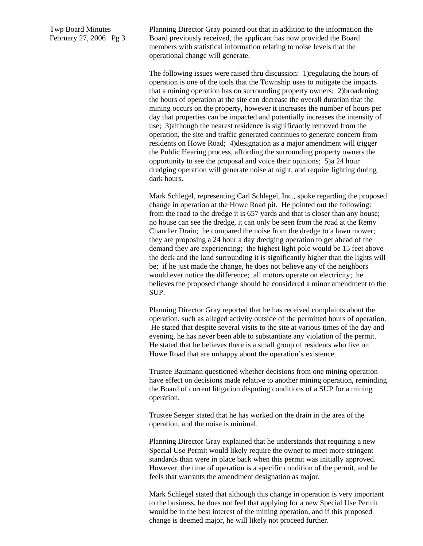Twp Board Minutes February 27, 2006 Pg 3 Planning Director Gray pointed out that in addition to the information the Board previously received, the applicant has now provided the Board members with statistical information relating to noise levels that the operational change will generate.

The following issues were raised thru discussion: 1)regulating the hours of operation is one of the tools that the Township uses to mitigate the impacts that a mining operation has on surrounding property owners; 2)broadening the hours of operation at the site can decrease the overall duration that the mining occurs on the property, however it increases the number of hours per day that properties can be impacted and potentially increases the intensity of use; 3)although the nearest residence is significantly removed from the operation, the site and traffic generated continues to generate concern from residents on Howe Road; 4)designation as a major amendment will trigger the Public Hearing process, affording the surrounding property owners the opportunity to see the proposal and voice their opinions; 5)a 24 hour dredging operation will generate noise at night, and require lighting during dark hours.

Mark Schlegel, representing Carl Schlegel, Inc., spoke regarding the proposed change in operation at the Howe Road pit. He pointed out the following: from the road to the dredge it is 657 yards and that is closer than any house; no house can see the dredge, it can only be seen from the road at the Remy Chandler Drain; he compared the noise from the dredge to a lawn mower; they are proposing a 24 hour a day dredging operation to get ahead of the demand they are experiencing; the highest light pole would be 15 feet above the deck and the land surrounding it is significantly higher than the lights will be; if he just made the change, he does not believe any of the neighbors would ever notice the difference; all motors operate on electricity; he believes the proposed change should be considered a minor amendment to the SUP.

Planning Director Gray reported that he has received complaints about the operation, such as alleged activity outside of the permitted hours of operation. He stated that despite several visits to the site at various times of the day and evening, he has never been able to substantiate any violation of the permit. He stated that he believes there is a small group of residents who live on Howe Road that are unhappy about the operation's existence.

Trustee Baumann questioned whether decisions from one mining operation have effect on decisions made relative to another mining operation, reminding the Board of current litigation disputing conditions of a SUP for a mining operation.

Trustee Seeger stated that he has worked on the drain in the area of the operation, and the noise is minimal.

Planning Director Gray explained that he understands that requiring a new Special Use Permit would likely require the owner to meet more stringent standards than were in place back when this permit was initially approved. However, the time of operation is a specific condition of the permit, and he feels that warrants the amendment designation as major.

Mark Schlegel stated that although this change in operation is very important to the business, he does not feel that applying for a new Special Use Permit would be in the best interest of the mining operation, and if this proposed change is deemed major, he will likely not proceed further.